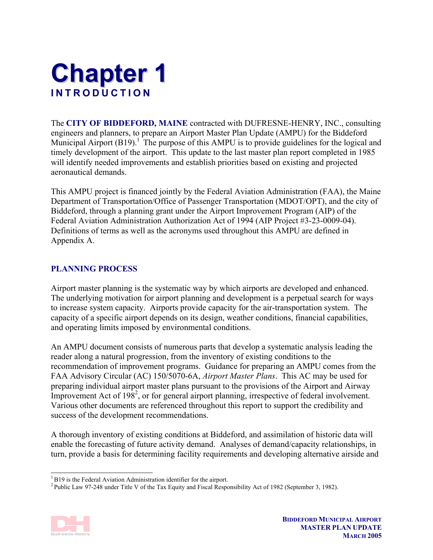# **Chapter 1 INTRODUCTION**

The **CITY OF BIDDEFORD, MAINE** contracted with DUFRESNE-HENRY, INC., consulting engineers and planners, to prepare an Airport Master Plan Update (AMPU) for the Biddeford Municipal Airport  $(B19)$ .<sup>1</sup> The purpose of this AMPU is to provide guidelines for the logical and timely development of the airport. This update to the last master plan report completed in 1985 will identify needed improvements and establish priorities based on existing and projected aeronautical demands.

This AMPU project is financed jointly by the Federal Aviation Administration (FAA), the Maine Department of Transportation/Office of Passenger Transportation (MDOT/OPT), and the city of Biddeford, through a planning grant under the Airport Improvement Program (AIP) of the Federal Aviation Administration Authorization Act of 1994 (AIP Project #3-23-0009-04). Definitions of terms as well as the acronyms used throughout this AMPU are defined in Appendix A.

# **PLANNING PROCESS**

Airport master planning is the systematic way by which airports are developed and enhanced. The underlying motivation for airport planning and development is a perpetual search for ways to increase system capacity. Airports provide capacity for the air-transportation system. The capacity of a specific airport depends on its design, weather conditions, financial capabilities, and operating limits imposed by environmental conditions.

An AMPU document consists of numerous parts that develop a systematic analysis leading the reader along a natural progression, from the inventory of existing conditions to the recommendation of improvement programs. Guidance for preparing an AMPU comes from the FAA Advisory Circular (AC) 150/5070-6A, *Airport Master Plans*. This AC may be used for preparing individual airport master plans pursuant to the provisions of the Airport and Airway Improvement Act of  $198^2$ , or for general airport planning, irrespective of federal involvement. Various other documents are referenced throughout this report to support the credibility and success of the development recommendations.

A thorough inventory of existing conditions at Biddeford, and assimilation of historic data will enable the forecasting of future activity demand. Analyses of demand/capacity relationships, in turn, provide a basis for determining facility requirements and developing alternative airside and

<sup>2</sup> Public Law 97-248 under Title V of the Tax Equity and Fiscal Responsibility Act of 1982 (September 3, 1982).



l <sup>1</sup> B19 is the Federal Aviation Administration identifier for the airport.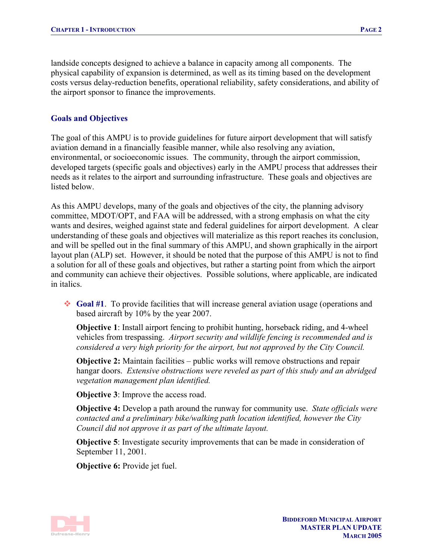landside concepts designed to achieve a balance in capacity among all components. The physical capability of expansion is determined, as well as its timing based on the development costs versus delay-reduction benefits, operational reliability, safety considerations, and ability of the airport sponsor to finance the improvements.

## **Goals and Objectives**

The goal of this AMPU is to provide guidelines for future airport development that will satisfy aviation demand in a financially feasible manner, while also resolving any aviation, environmental, or socioeconomic issues. The community, through the airport commission, developed targets (specific goals and objectives) early in the AMPU process that addresses their needs as it relates to the airport and surrounding infrastructure. These goals and objectives are listed below.

As this AMPU develops, many of the goals and objectives of the city, the planning advisory committee, MDOT/OPT, and FAA will be addressed, with a strong emphasis on what the city wants and desires, weighed against state and federal guidelines for airport development. A clear understanding of these goals and objectives will materialize as this report reaches its conclusion, and will be spelled out in the final summary of this AMPU, and shown graphically in the airport layout plan (ALP) set. However, it should be noted that the purpose of this AMPU is not to find a solution for all of these goals and objectives, but rather a starting point from which the airport and community can achieve their objectives. Possible solutions, where applicable, are indicated in italics.

 **Goal #1**. To provide facilities that will increase general aviation usage (operations and based aircraft by 10% by the year 2007.

**Objective 1**: Install airport fencing to prohibit hunting, horseback riding, and 4-wheel vehicles from trespassing. *Airport security and wildlife fencing is recommended and is considered a very high priority for the airport, but not approved by the City Council.* 

**Objective 2:** Maintain facilities – public works will remove obstructions and repair hangar doors. *Extensive obstructions were reveled as part of this study and an abridged vegetation management plan identified.* 

**Objective 3**: Improve the access road.

**Objective 4:** Develop a path around the runway for community use. *State officials were contacted and a preliminary bike/walking path location identified, however the City Council did not approve it as part of the ultimate layout.* 

**Objective 5**: Investigate security improvements that can be made in consideration of September 11, 2001.

**Objective 6:** Provide jet fuel.

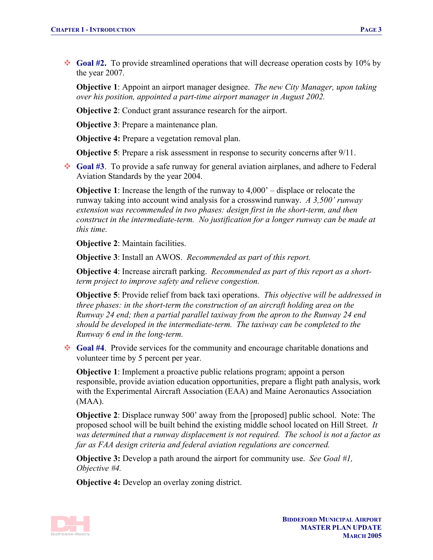◆ **Goal #2.** To provide streamlined operations that will decrease operation costs by 10% by the year 2007.

**Objective 1**: Appoint an airport manager designee. *The new City Manager, upon taking over his position, appointed a part-time airport manager in August 2002.* 

**Objective 2**: Conduct grant assurance research for the airport.

**Objective 3**: Prepare a maintenance plan.

**Objective 4:** Prepare a vegetation removal plan.

**Objective 5**: Prepare a risk assessment in response to security concerns after 9/11.

 **Goal #3**. To provide a safe runway for general aviation airplanes, and adhere to Federal Aviation Standards by the year 2004.

**Objective 1**: Increase the length of the runway to 4,000' – displace or relocate the runway taking into account wind analysis for a crosswind runway. *A 3,500' runway extension was recommended in two phases: design first in the short-term, and then construct in the intermediate-term. No justification for a longer runway can be made at this time.* 

**Objective 2:** Maintain facilities.

**Objective 3**: Install an AWOS. *Recommended as part of this report.* 

**Objective 4**: Increase aircraft parking. *Recommended as part of this report as a shortterm project to improve safety and relieve congestion.* 

**Objective 5**: Provide relief from back taxi operations. *This objective will be addressed in three phases: in the short-term the construction of an aircraft holding area on the Runway 24 end; then a partial parallel taxiway from the apron to the Runway 24 end should be developed in the intermediate-term. The taxiway can be completed to the Runway 6 end in the long-term.* 

 **Goal #4**. Provide services for the community and encourage charitable donations and volunteer time by 5 percent per year.

**Objective 1**: Implement a proactive public relations program; appoint a person responsible, provide aviation education opportunities, prepare a flight path analysis, work with the Experimental Aircraft Association (EAA) and Maine Aeronautics Association (MAA).

**Objective 2**: Displace runway 500' away from the [proposed] public school. Note: The proposed school will be built behind the existing middle school located on Hill Street. *It was determined that a runway displacement is not required. The school is not a factor as far as FAA design criteria and federal aviation regulations are concerned.* 

**Objective 3:** Develop a path around the airport for community use. *See Goal #1, Objective #4.* 

**Objective 4:** Develop an overlay zoning district.

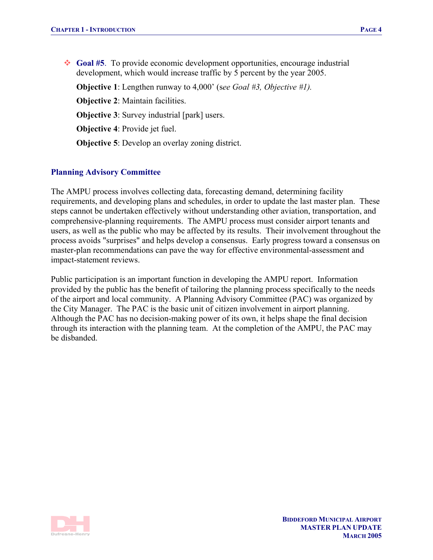**Goal #5**. To provide economic development opportunities, encourage industrial development, which would increase traffic by 5 percent by the year 2005.

**Objective 1**: Lengthen runway to 4,000' (s*ee Goal #3, Objective #1).* 

**Objective 2**: Maintain facilities.

**Objective 3**: Survey industrial [park] users.

**Objective 4**: Provide jet fuel.

**Objective 5**: Develop an overlay zoning district.

## **Planning Advisory Committee**

The AMPU process involves collecting data, forecasting demand, determining facility requirements, and developing plans and schedules, in order to update the last master plan. These steps cannot be undertaken effectively without understanding other aviation, transportation, and comprehensive-planning requirements. The AMPU process must consider airport tenants and users, as well as the public who may be affected by its results. Their involvement throughout the process avoids "surprises" and helps develop a consensus. Early progress toward a consensus on master-plan recommendations can pave the way for effective environmental-assessment and impact-statement reviews.

Public participation is an important function in developing the AMPU report. Information provided by the public has the benefit of tailoring the planning process specifically to the needs of the airport and local community. A Planning Advisory Committee (PAC) was organized by the City Manager. The PAC is the basic unit of citizen involvement in airport planning. Although the PAC has no decision-making power of its own, it helps shape the final decision through its interaction with the planning team. At the completion of the AMPU, the PAC may be disbanded.

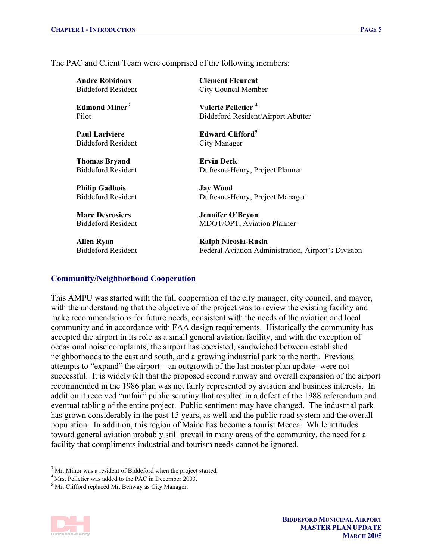The PAC and Client Team were comprised of the following members:

**Andre Robidoux**  Biddeford Resident

**Edmond Miner**<sup>3</sup> Pilot

**Paul Lariviere**  Biddeford Resident

**Thomas Bryand**  Biddeford Resident

**Philip Gadbois**  Biddeford Resident

**Marc Desrosiers**  Biddeford Resident

**Allen Ryan**  Biddeford Resident **Clement Fleurent**  City Council Member

**Valerie Pelletier** <sup>4</sup> Biddeford Resident/Airport Abutter

**Edward Clifford<sup>5</sup>** City Manager

**Ervin Deck**  Dufresne-Henry, Project Planner

**Jay Wood**  Dufresne-Henry, Project Manager

**Jennifer O'Bryon**  MDOT/OPT, Aviation Planner

**Ralph Nicosia-Rusin**  Federal Aviation Administration, Airport's Division

#### **Community/Neighborhood Cooperation**

This AMPU was started with the full cooperation of the city manager, city council, and mayor, with the understanding that the objective of the project was to review the existing facility and make recommendations for future needs, consistent with the needs of the aviation and local community and in accordance with FAA design requirements. Historically the community has accepted the airport in its role as a small general aviation facility, and with the exception of occasional noise complaints; the airport has coexisted, sandwiched between established neighborhoods to the east and south, and a growing industrial park to the north. Previous attempts to "expand" the airport – an outgrowth of the last master plan update -were not successful. It is widely felt that the proposed second runway and overall expansion of the airport recommended in the 1986 plan was not fairly represented by aviation and business interests. In addition it received "unfair" public scrutiny that resulted in a defeat of the 1988 referendum and eventual tabling of the entire project. Public sentiment may have changed. The industrial park has grown considerably in the past 15 years, as well and the public road system and the overall population. In addition, this region of Maine has become a tourist Mecca. While attitudes toward general aviation probably still prevail in many areas of the community, the need for a facility that compliments industrial and tourism needs cannot be ignored.

<sup>&</sup>lt;sup>5</sup> Mr. Clifford replaced Mr. Benway as City Manager.



l

 $3$  Mr. Minor was a resident of Biddeford when the project started.

<sup>4</sup> Mrs. Pelletier was added to the PAC in December 2003.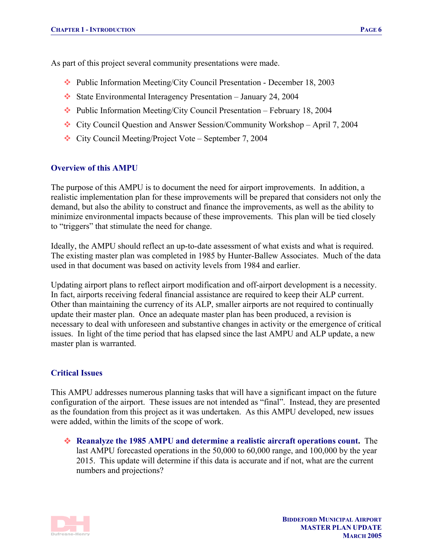As part of this project several community presentations were made.

- Public Information Meeting/City Council Presentation December 18, 2003
- State Environmental Interagency Presentation January 24, 2004
- $\cdot \cdot$  Public Information Meeting/City Council Presentation February 18, 2004
- City Council Question and Answer Session/Community Workshop April 7, 2004
- City Council Meeting/Project Vote September 7, 2004

#### **Overview of this AMPU**

The purpose of this AMPU is to document the need for airport improvements. In addition, a realistic implementation plan for these improvements will be prepared that considers not only the demand, but also the ability to construct and finance the improvements, as well as the ability to minimize environmental impacts because of these improvements. This plan will be tied closely to "triggers" that stimulate the need for change.

Ideally, the AMPU should reflect an up-to-date assessment of what exists and what is required. The existing master plan was completed in 1985 by Hunter-Ballew Associates. Much of the data used in that document was based on activity levels from 1984 and earlier.

Updating airport plans to reflect airport modification and off-airport development is a necessity. In fact, airports receiving federal financial assistance are required to keep their ALP current. Other than maintaining the currency of its ALP, smaller airports are not required to continually update their master plan. Once an adequate master plan has been produced, a revision is necessary to deal with unforeseen and substantive changes in activity or the emergence of critical issues. In light of the time period that has elapsed since the last AMPU and ALP update, a new master plan is warranted.

## **Critical Issues**

This AMPU addresses numerous planning tasks that will have a significant impact on the future configuration of the airport. These issues are not intended as "final". Instead, they are presented as the foundation from this project as it was undertaken. As this AMPU developed, new issues were added, within the limits of the scope of work.

 **Reanalyze the 1985 AMPU and determine a realistic aircraft operations count.** The last AMPU forecasted operations in the 50,000 to 60,000 range, and 100,000 by the year 2015. This update will determine if this data is accurate and if not, what are the current numbers and projections?

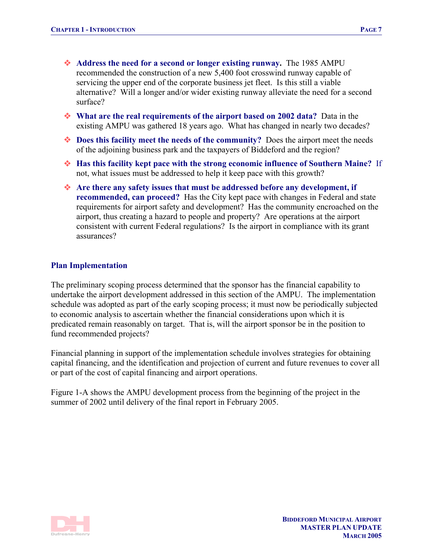- **Address the need for a second or longer existing runway.** The 1985 AMPU recommended the construction of a new 5,400 foot crosswind runway capable of servicing the upper end of the corporate business jet fleet. Is this still a viable alternative? Will a longer and/or wider existing runway alleviate the need for a second surface?
- **What are the real requirements of the airport based on 2002 data?** Data in the existing AMPU was gathered 18 years ago. What has changed in nearly two decades?
- ◆ **Does this facility meet the needs of the community?** Does the airport meet the needs of the adjoining business park and the taxpayers of Biddeford and the region?
- **Has this facility kept pace with the strong economic influence of Southern Maine?** If not, what issues must be addressed to help it keep pace with this growth?
- **Are there any safety issues that must be addressed before any development, if recommended, can proceed?** Has the City kept pace with changes in Federal and state requirements for airport safety and development? Has the community encroached on the airport, thus creating a hazard to people and property? Are operations at the airport consistent with current Federal regulations? Is the airport in compliance with its grant assurances?

#### **Plan Implementation**

The preliminary scoping process determined that the sponsor has the financial capability to undertake the airport development addressed in this section of the AMPU. The implementation schedule was adopted as part of the early scoping process; it must now be periodically subjected to economic analysis to ascertain whether the financial considerations upon which it is predicated remain reasonably on target. That is, will the airport sponsor be in the position to fund recommended projects?

Financial planning in support of the implementation schedule involves strategies for obtaining capital financing, and the identification and projection of current and future revenues to cover all or part of the cost of capital financing and airport operations.

Figure 1-A shows the AMPU development process from the beginning of the project in the summer of 2002 until delivery of the final report in February 2005.